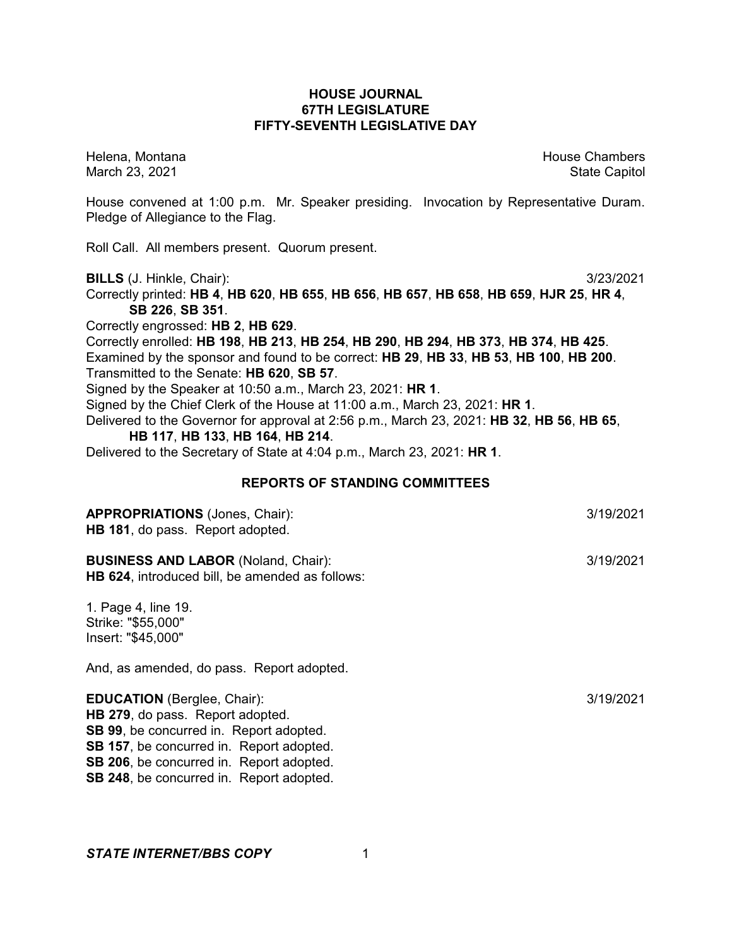### **HOUSE JOURNAL 67TH LEGISLATURE FIFTY-SEVENTH LEGISLATIVE DAY**

Helena, Montana House Chambers Chambers Chambers and House Chambers Chambers Chambers Chambers and House Chambers and House Chambers and House Chambers and House Chambers and House Chambers and House Chambers and House Cha March 23, 2021 **State Capitol** 

House convened at 1:00 p.m. Mr. Speaker presiding. Invocation by Representative Duram. Pledge of Allegiance to the Flag.

Roll Call. All members present. Quorum present.

**BILLS** (J. Hinkle, Chair): 3/23/2021

Correctly printed: **HB 4**, **HB 620**, **HB 655**, **HB 656**, **HB 657**, **HB 658**, **HB 659**, **HJR 25**, **HR 4**, **SB 226**, **SB 351**.

Correctly engrossed: **HB 2**, **HB 629**.

Correctly enrolled: **HB 198**, **HB 213**, **HB 254**, **HB 290**, **HB 294**, **HB 373**, **HB 374**, **HB 425**. Examined by the sponsor and found to be correct: **HB 29**, **HB 33**, **HB 53**, **HB 100**, **HB 200**. Transmitted to the Senate: **HB 620**, **SB 57**.

Signed by the Speaker at 10:50 a.m., March 23, 2021: **HR 1**.

Signed by the Chief Clerk of the House at 11:00 a.m., March 23, 2021: **HR 1**.

Delivered to the Governor for approval at 2:56 p.m., March 23, 2021: **HB 32**, **HB 56**, **HB 65**,

# **HB 117**, **HB 133**, **HB 164**, **HB 214**.

Delivered to the Secretary of State at 4:04 p.m., March 23, 2021: **HR 1**.

#### **REPORTS OF STANDING COMMITTEES**

| <b>APPROPRIATIONS (Jones, Chair):</b><br>HB 181, do pass. Report adopted.                                                                                                                                                                                           | 3/19/2021 |
|---------------------------------------------------------------------------------------------------------------------------------------------------------------------------------------------------------------------------------------------------------------------|-----------|
| <b>BUSINESS AND LABOR (Noland, Chair):</b><br>HB 624, introduced bill, be amended as follows:                                                                                                                                                                       | 3/19/2021 |
| 1. Page 4, line 19.<br>Strike: "\$55,000"<br>Insert: "\$45,000"                                                                                                                                                                                                     |           |
| And, as amended, do pass. Report adopted.                                                                                                                                                                                                                           |           |
| <b>EDUCATION</b> (Berglee, Chair):<br><b>HB 279, do pass. Report adopted.</b><br><b>SB 99, be concurred in. Report adopted.</b><br>SB 157, be concurred in. Report adopted.<br>SB 206, be concurred in. Report adopted.<br>SB 248, be concurred in. Report adopted. | 3/19/2021 |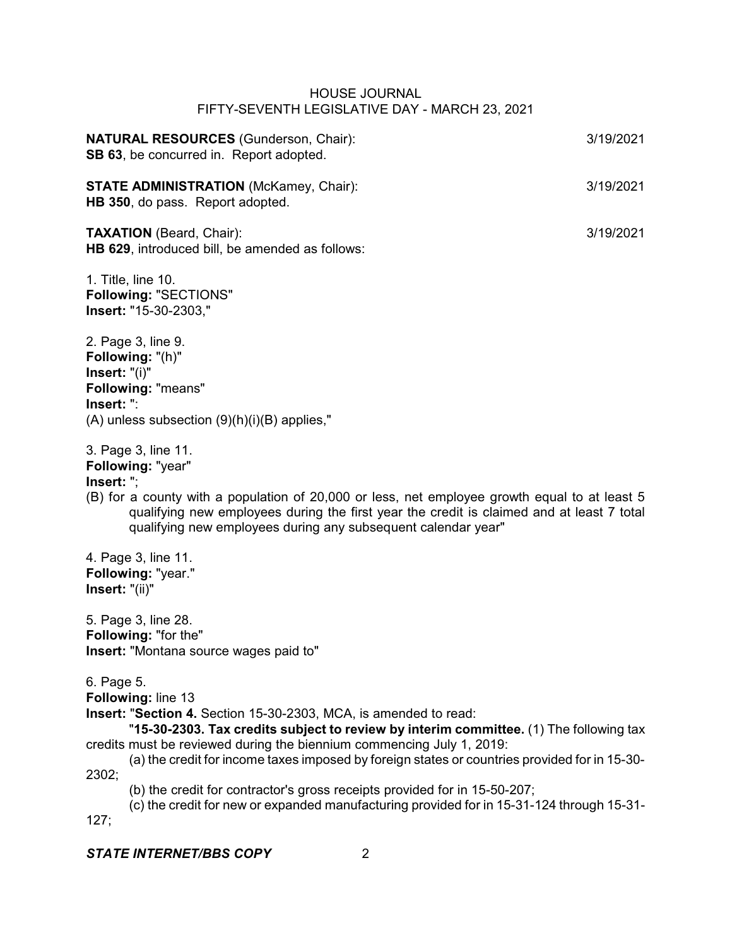| <b>NATURAL RESOURCES</b> (Gunderson, Chair):<br>SB 63, be concurred in. Report adopted.                                                                                                                                                                                                                                                                                                                                                                                                                                                                             | 3/19/2021 |
|---------------------------------------------------------------------------------------------------------------------------------------------------------------------------------------------------------------------------------------------------------------------------------------------------------------------------------------------------------------------------------------------------------------------------------------------------------------------------------------------------------------------------------------------------------------------|-----------|
| <b>STATE ADMINISTRATION</b> (McKamey, Chair):<br>HB 350, do pass. Report adopted.                                                                                                                                                                                                                                                                                                                                                                                                                                                                                   | 3/19/2021 |
| <b>TAXATION</b> (Beard, Chair):<br>HB 629, introduced bill, be amended as follows:                                                                                                                                                                                                                                                                                                                                                                                                                                                                                  | 3/19/2021 |
| 1. Title, line 10.<br><b>Following: "SECTIONS"</b><br>Insert: "15-30-2303,"                                                                                                                                                                                                                                                                                                                                                                                                                                                                                         |           |
| 2. Page 3, line 9.<br>Following: "(h)"<br>Insert: "(i)"<br><b>Following: "means"</b><br>Insert: ":<br>$(A)$ unless subsection $(9)(h)(i)(B)$ applies,"                                                                                                                                                                                                                                                                                                                                                                                                              |           |
| 3. Page 3, line 11.<br>Following: "year"<br>Insert: ";<br>(B) for a county with a population of 20,000 or less, net employee growth equal to at least 5<br>qualifying new employees during the first year the credit is claimed and at least 7 total<br>qualifying new employees during any subsequent calendar year"                                                                                                                                                                                                                                               |           |
| 4. Page 3, line 11.<br>Following: "year."<br>Insert: "(ii)"                                                                                                                                                                                                                                                                                                                                                                                                                                                                                                         |           |
| 5. Page 3, line 28.<br>Following: "for the"<br>Insert: "Montana source wages paid to"                                                                                                                                                                                                                                                                                                                                                                                                                                                                               |           |
| 6. Page 5.<br>Following: line 13<br>Insert: "Section 4. Section 15-30-2303, MCA, is amended to read:<br>"15-30-2303. Tax credits subject to review by interim committee. (1) The following tax<br>credits must be reviewed during the biennium commencing July 1, 2019:<br>(a) the credit for income taxes imposed by foreign states or countries provided for in 15-30-<br>2302;<br>(b) the credit for contractor's gross receipts provided for in 15-50-207;<br>(c) the credit for new or expanded manufacturing provided for in 15-31-124 through 15-31-<br>127; |           |
| <b>STATE INTERNET/BBS COPY</b><br>2                                                                                                                                                                                                                                                                                                                                                                                                                                                                                                                                 |           |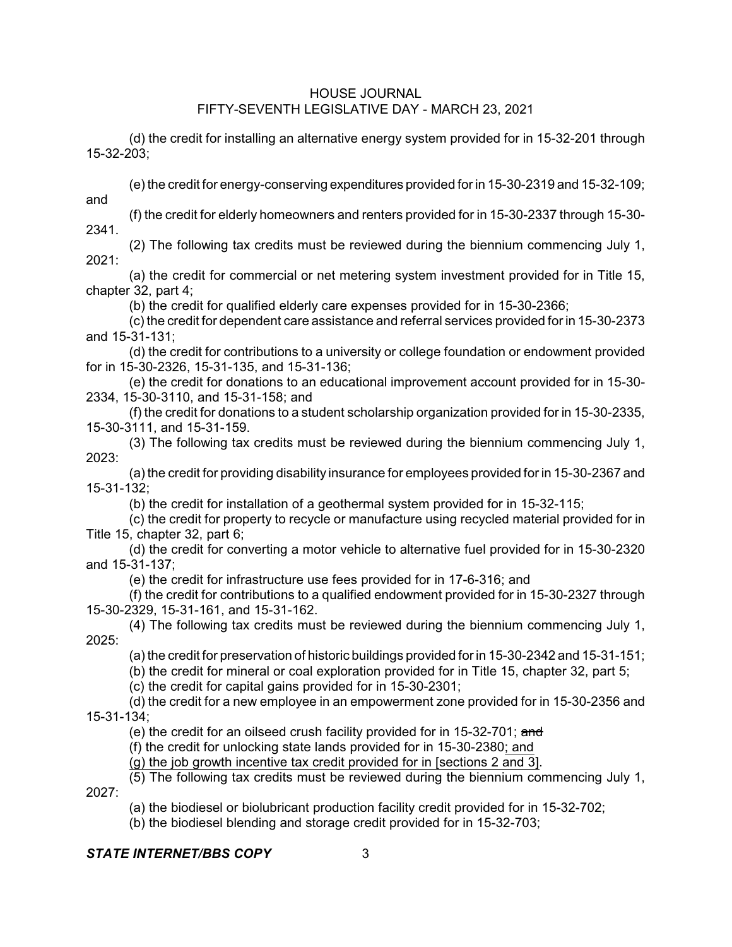(d) the credit for installing an alternative energy system provided for in 15-32-201 through 15-32-203;

(e) the credit for energy-conserving expenditures provided for in 15-30-2319 and 15-32-109; and

(f) the credit for elderly homeowners and renters provided for in 15-30-2337 through 15-30- 2341.

(2) The following tax credits must be reviewed during the biennium commencing July 1,  $2021$ 

(a) the credit for commercial or net metering system investment provided for in Title 15, chapter 32, part 4;

(b) the credit for qualified elderly care expenses provided for in 15-30-2366;

(c) the credit for dependent care assistance and referral services provided forin 15-30-2373 and 15-31-131;

(d) the credit for contributions to a university or college foundation or endowment provided for in 15-30-2326, 15-31-135, and 15-31-136;

(e) the credit for donations to an educational improvement account provided for in 15-30- 2334, 15-30-3110, and 15-31-158; and

(f) the credit for donations to a student scholarship organization provided for in 15-30-2335, 15-30-3111, and 15-31-159.

(3) The following tax credits must be reviewed during the biennium commencing July 1, 2023:

(a) the credit for providing disability insurance for employees provided for in 15-30-2367 and 15-31-132;

(b) the credit for installation of a geothermal system provided for in 15-32-115;

(c) the credit for property to recycle or manufacture using recycled material provided for in Title 15, chapter 32, part 6;

(d) the credit for converting a motor vehicle to alternative fuel provided for in 15-30-2320 and 15-31-137;

(e) the credit for infrastructure use fees provided for in 17-6-316; and

(f) the credit for contributions to a qualified endowment provided for in 15-30-2327 through 15-30-2329, 15-31-161, and 15-31-162.

(4) The following tax credits must be reviewed during the biennium commencing July 1,  $2025$ 

(a) the credit for preservation of historic buildings provided for in 15-30-2342 and 15-31-151;

(b) the credit for mineral or coal exploration provided for in Title 15, chapter 32, part 5;

(c) the credit for capital gains provided for in 15-30-2301;

(d) the credit for a new employee in an empowerment zone provided for in 15-30-2356 and 15-31-134;

(e) the credit for an oilseed crush facility provided for in 15-32-701; and

(f) the credit for unlocking state lands provided for in 15-30-2380; and

(g) the job growth incentive tax credit provided for in [sections 2 and 3].

(5) The following tax credits must be reviewed during the biennium commencing July 1, 2027:

(a) the biodiesel or biolubricant production facility credit provided for in 15-32-702;

(b) the biodiesel blending and storage credit provided for in 15-32-703;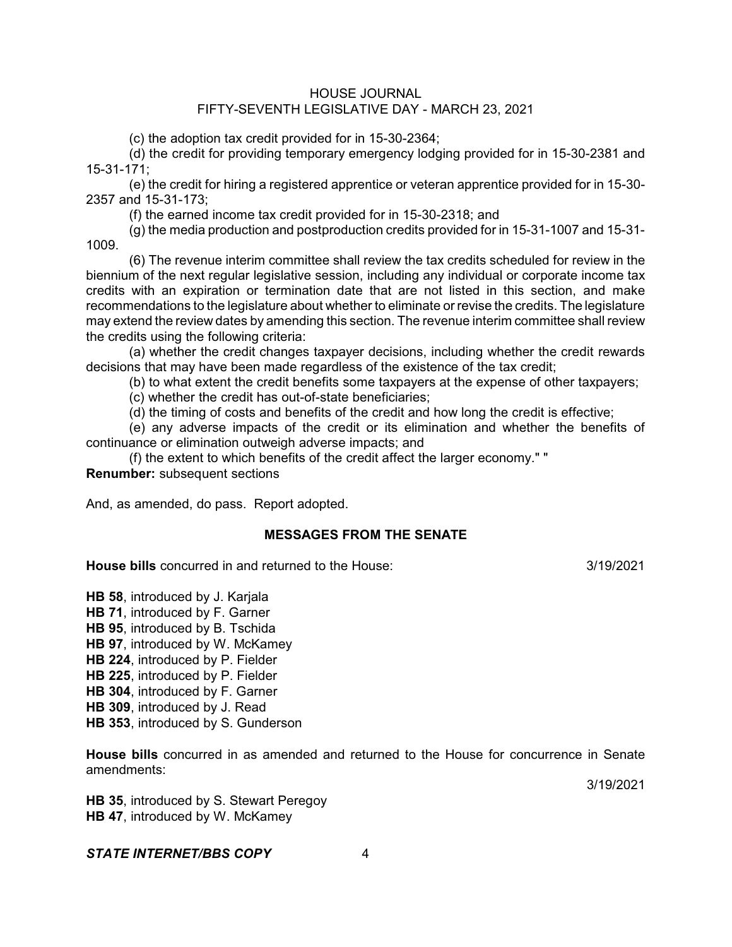(c) the adoption tax credit provided for in 15-30-2364;

(d) the credit for providing temporary emergency lodging provided for in 15-30-2381 and 15-31-171;

(e) the credit for hiring a registered apprentice or veteran apprentice provided for in 15-30- 2357 and 15-31-173;

(f) the earned income tax credit provided for in 15-30-2318; and

(g) the media production and postproduction credits provided for in 15-31-1007 and 15-31- 1009.

(6) The revenue interim committee shall review the tax credits scheduled for review in the biennium of the next regular legislative session, including any individual or corporate income tax credits with an expiration or termination date that are not listed in this section, and make recommendations to the legislature about whether to eliminate or revise the credits. The legislature may extend the review dates by amending this section. The revenue interim committee shall review the credits using the following criteria:

(a) whether the credit changes taxpayer decisions, including whether the credit rewards decisions that may have been made regardless of the existence of the tax credit;

(b) to what extent the credit benefits some taxpayers at the expense of other taxpayers;

(c) whether the credit has out-of-state beneficiaries;

(d) the timing of costs and benefits of the credit and how long the credit is effective;

(e) any adverse impacts of the credit or its elimination and whether the benefits of continuance or elimination outweigh adverse impacts; and

(f) the extent to which benefits of the credit affect the larger economy." " **Renumber:** subsequent sections

And, as amended, do pass. Report adopted.

### **MESSAGES FROM THE SENATE**

**House bills** concurred in and returned to the House:  $\frac{3}{19/2021}$ 

**HB 58**, introduced by J. Karjala **HB 71**, introduced by F. Garner **HB 95**, introduced by B. Tschida **HB 97**, introduced by W. McKamey **HB 224**, introduced by P. Fielder **HB 225**, introduced by P. Fielder **HB 304**, introduced by F. Garner **HB 309**, introduced by J. Read **HB 353**, introduced by S. Gunderson

**House bills** concurred in as amended and returned to the House for concurrence in Senate amendments:

3/19/2021

**HB 35**, introduced by S. Stewart Peregoy **HB 47**, introduced by W. McKamey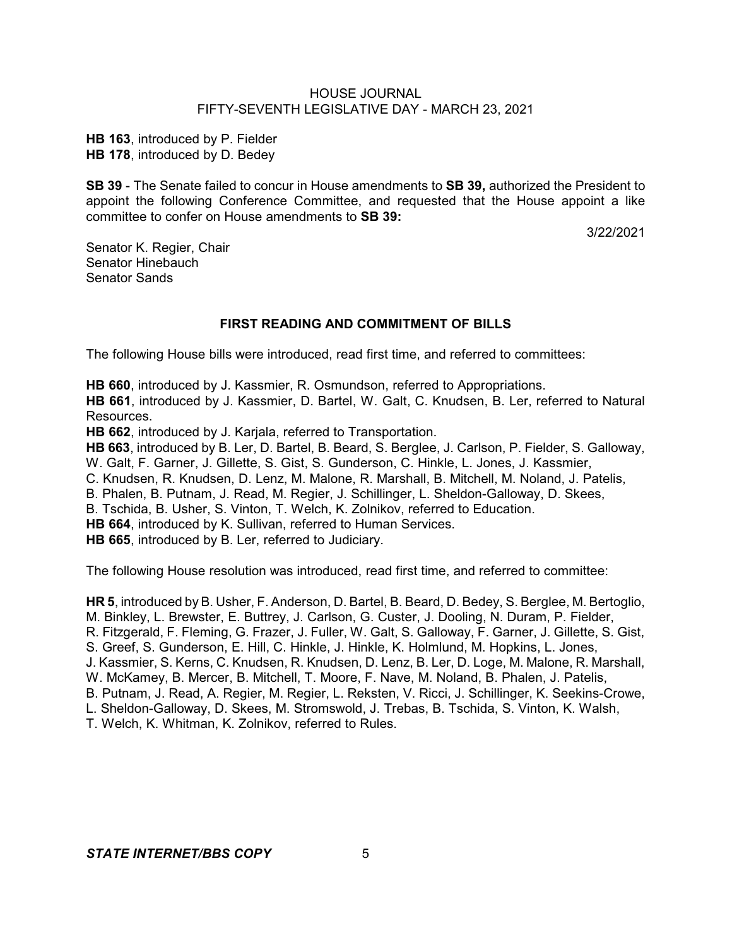**HB 163**, introduced by P. Fielder **HB 178**, introduced by D. Bedey

**SB 39** - The Senate failed to concur in House amendments to **SB 39,** authorized the President to appoint the following Conference Committee, and requested that the House appoint a like committee to confer on House amendments to **SB 39:**

3/22/2021

Senator K. Regier, Chair Senator Hinebauch Senator Sands

## **FIRST READING AND COMMITMENT OF BILLS**

The following House bills were introduced, read first time, and referred to committees:

**HB 660**, introduced by J. Kassmier, R. Osmundson, referred to Appropriations. **HB 661**, introduced by J. Kassmier, D. Bartel, W. Galt, C. Knudsen, B. Ler, referred to Natural Resources.

**HB 662**, introduced by J. Karjala, referred to Transportation.

**HB 663**, introduced by B. Ler, D. Bartel, B. Beard, S. Berglee, J. Carlson, P. Fielder, S. Galloway, W. Galt, F. Garner, J. Gillette, S. Gist, S. Gunderson, C. Hinkle, L. Jones, J. Kassmier, C. Knudsen, R. Knudsen, D. Lenz, M. Malone, R. Marshall, B. Mitchell, M. Noland, J. Patelis, B. Phalen, B. Putnam, J. Read, M. Regier, J. Schillinger, L. Sheldon-Galloway, D. Skees,

B. Tschida, B. Usher, S. Vinton, T. Welch, K. Zolnikov, referred to Education.

**HB 664**, introduced by K. Sullivan, referred to Human Services.

**HB 665**, introduced by B. Ler, referred to Judiciary.

The following House resolution was introduced, read first time, and referred to committee:

**HR 5**, introduced by B. Usher, F. Anderson, D. Bartel, B. Beard, D. Bedey, S. Berglee, M. Bertoglio, M. Binkley, L. Brewster, E. Buttrey, J. Carlson, G. Custer, J. Dooling, N. Duram, P. Fielder, R. Fitzgerald, F. Fleming, G. Frazer, J. Fuller, W. Galt, S. Galloway, F. Garner, J. Gillette, S. Gist, S. Greef, S. Gunderson, E. Hill, C. Hinkle, J. Hinkle, K. Holmlund, M. Hopkins, L. Jones, J. Kassmier, S. Kerns, C. Knudsen, R. Knudsen, D. Lenz, B. Ler, D. Loge, M. Malone, R. Marshall, W. McKamey, B. Mercer, B. Mitchell, T. Moore, F. Nave, M. Noland, B. Phalen, J. Patelis, B. Putnam, J. Read, A. Regier, M. Regier, L. Reksten, V. Ricci, J. Schillinger, K. Seekins-Crowe, L. Sheldon-Galloway, D. Skees, M. Stromswold, J. Trebas, B. Tschida, S. Vinton, K. Walsh, T. Welch, K. Whitman, K. Zolnikov, referred to Rules.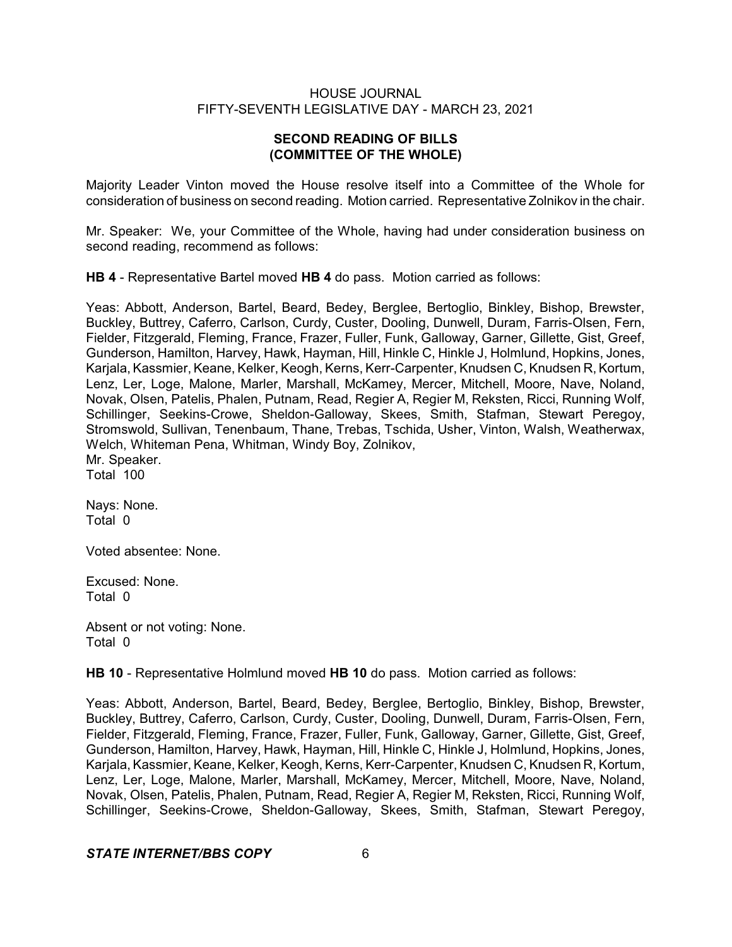## **SECOND READING OF BILLS (COMMITTEE OF THE WHOLE)**

Majority Leader Vinton moved the House resolve itself into a Committee of the Whole for consideration of business on second reading. Motion carried. Representative Zolnikov in the chair.

Mr. Speaker: We, your Committee of the Whole, having had under consideration business on second reading, recommend as follows:

**HB 4** - Representative Bartel moved **HB 4** do pass. Motion carried as follows:

Yeas: Abbott, Anderson, Bartel, Beard, Bedey, Berglee, Bertoglio, Binkley, Bishop, Brewster, Buckley, Buttrey, Caferro, Carlson, Curdy, Custer, Dooling, Dunwell, Duram, Farris-Olsen, Fern, Fielder, Fitzgerald, Fleming, France, Frazer, Fuller, Funk, Galloway, Garner, Gillette, Gist, Greef, Gunderson, Hamilton, Harvey, Hawk, Hayman, Hill, Hinkle C, Hinkle J, Holmlund, Hopkins, Jones, Karjala, Kassmier, Keane, Kelker, Keogh, Kerns, Kerr-Carpenter, Knudsen C, Knudsen R, Kortum, Lenz, Ler, Loge, Malone, Marler, Marshall, McKamey, Mercer, Mitchell, Moore, Nave, Noland, Novak, Olsen, Patelis, Phalen, Putnam, Read, Regier A, Regier M, Reksten, Ricci, Running Wolf, Schillinger, Seekins-Crowe, Sheldon-Galloway, Skees, Smith, Stafman, Stewart Peregoy, Stromswold, Sullivan, Tenenbaum, Thane, Trebas, Tschida, Usher, Vinton, Walsh, Weatherwax, Welch, Whiteman Pena, Whitman, Windy Boy, Zolnikov, Mr. Speaker. Total 100

Nays: None. Total 0

Voted absentee: None.

Excused: None. Total 0

Absent or not voting: None. Total 0

**HB 10** - Representative Holmlund moved **HB 10** do pass. Motion carried as follows:

Yeas: Abbott, Anderson, Bartel, Beard, Bedey, Berglee, Bertoglio, Binkley, Bishop, Brewster, Buckley, Buttrey, Caferro, Carlson, Curdy, Custer, Dooling, Dunwell, Duram, Farris-Olsen, Fern, Fielder, Fitzgerald, Fleming, France, Frazer, Fuller, Funk, Galloway, Garner, Gillette, Gist, Greef, Gunderson, Hamilton, Harvey, Hawk, Hayman, Hill, Hinkle C, Hinkle J, Holmlund, Hopkins, Jones, Karjala, Kassmier, Keane, Kelker, Keogh, Kerns, Kerr-Carpenter, Knudsen C, Knudsen R, Kortum, Lenz, Ler, Loge, Malone, Marler, Marshall, McKamey, Mercer, Mitchell, Moore, Nave, Noland, Novak, Olsen, Patelis, Phalen, Putnam, Read, Regier A, Regier M, Reksten, Ricci, Running Wolf, Schillinger, Seekins-Crowe, Sheldon-Galloway, Skees, Smith, Stafman, Stewart Peregoy,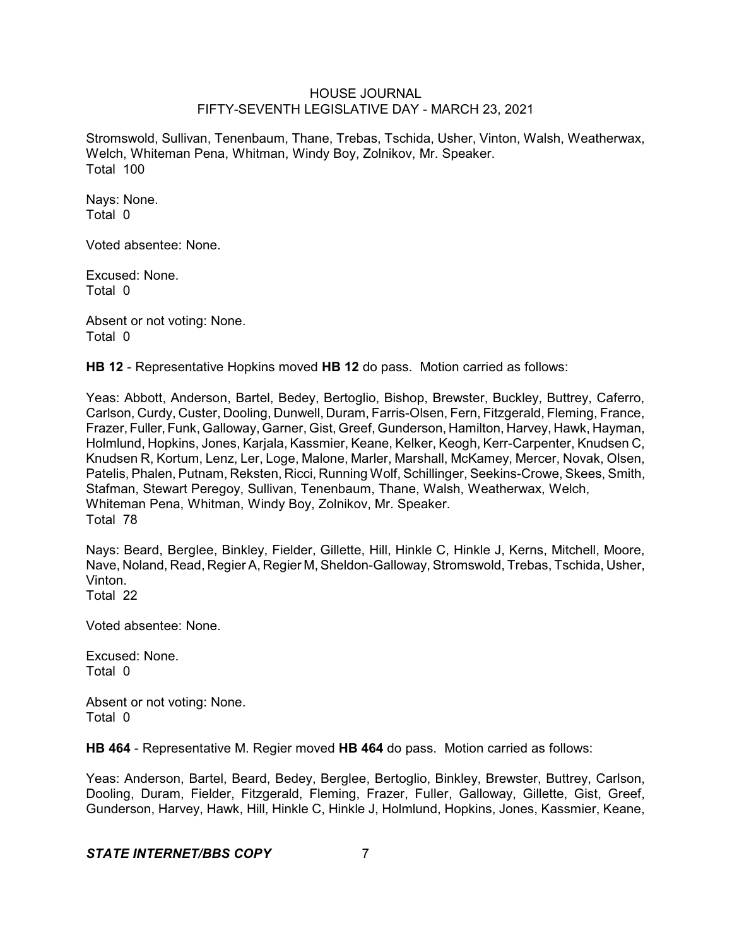Stromswold, Sullivan, Tenenbaum, Thane, Trebas, Tschida, Usher, Vinton, Walsh, Weatherwax, Welch, Whiteman Pena, Whitman, Windy Boy, Zolnikov, Mr. Speaker. Total 100

Nays: None. Total 0

Voted absentee: None.

Excused: None. Total 0

Absent or not voting: None. Total 0

**HB 12** - Representative Hopkins moved **HB 12** do pass. Motion carried as follows:

Yeas: Abbott, Anderson, Bartel, Bedey, Bertoglio, Bishop, Brewster, Buckley, Buttrey, Caferro, Carlson, Curdy, Custer, Dooling, Dunwell, Duram, Farris-Olsen, Fern, Fitzgerald, Fleming, France, Frazer, Fuller, Funk, Galloway, Garner, Gist, Greef, Gunderson, Hamilton, Harvey, Hawk, Hayman, Holmlund, Hopkins, Jones, Karjala, Kassmier, Keane, Kelker, Keogh, Kerr-Carpenter, Knudsen C, Knudsen R, Kortum, Lenz, Ler, Loge, Malone, Marler, Marshall, McKamey, Mercer, Novak, Olsen, Patelis, Phalen, Putnam, Reksten, Ricci, Running Wolf, Schillinger, Seekins-Crowe, Skees, Smith, Stafman, Stewart Peregoy, Sullivan, Tenenbaum, Thane, Walsh, Weatherwax, Welch, Whiteman Pena, Whitman, Windy Boy, Zolnikov, Mr. Speaker. Total 78

Nays: Beard, Berglee, Binkley, Fielder, Gillette, Hill, Hinkle C, Hinkle J, Kerns, Mitchell, Moore, Nave, Noland, Read, Regier A, Regier M, Sheldon-Galloway, Stromswold, Trebas, Tschida, Usher, Vinton.

Total 22

Voted absentee: None.

Excused: None. Total 0

Absent or not voting: None. Total 0

**HB 464** - Representative M. Regier moved **HB 464** do pass. Motion carried as follows:

Yeas: Anderson, Bartel, Beard, Bedey, Berglee, Bertoglio, Binkley, Brewster, Buttrey, Carlson, Dooling, Duram, Fielder, Fitzgerald, Fleming, Frazer, Fuller, Galloway, Gillette, Gist, Greef, Gunderson, Harvey, Hawk, Hill, Hinkle C, Hinkle J, Holmlund, Hopkins, Jones, Kassmier, Keane,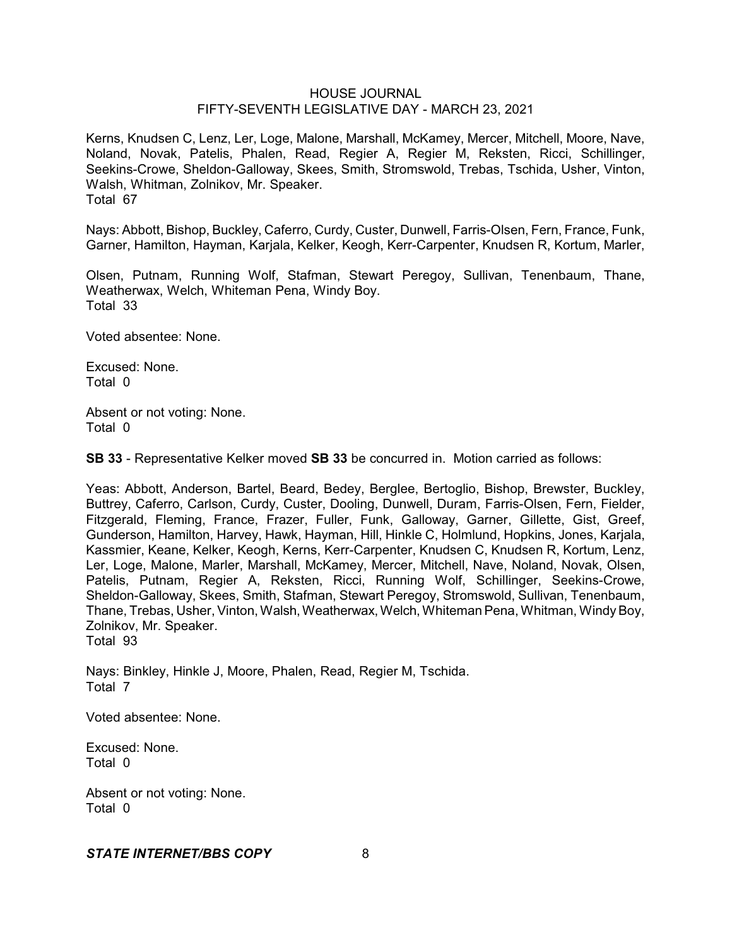Kerns, Knudsen C, Lenz, Ler, Loge, Malone, Marshall, McKamey, Mercer, Mitchell, Moore, Nave, Noland, Novak, Patelis, Phalen, Read, Regier A, Regier M, Reksten, Ricci, Schillinger, Seekins-Crowe, Sheldon-Galloway, Skees, Smith, Stromswold, Trebas, Tschida, Usher, Vinton, Walsh, Whitman, Zolnikov, Mr. Speaker. Total 67

Nays: Abbott, Bishop, Buckley, Caferro, Curdy, Custer, Dunwell, Farris-Olsen, Fern, France, Funk, Garner, Hamilton, Hayman, Karjala, Kelker, Keogh, Kerr-Carpenter, Knudsen R, Kortum, Marler,

Olsen, Putnam, Running Wolf, Stafman, Stewart Peregoy, Sullivan, Tenenbaum, Thane, Weatherwax, Welch, Whiteman Pena, Windy Boy. Total 33

Voted absentee: None.

Excused: None. Total 0

Absent or not voting: None. Total 0

**SB 33** - Representative Kelker moved **SB 33** be concurred in. Motion carried as follows:

Yeas: Abbott, Anderson, Bartel, Beard, Bedey, Berglee, Bertoglio, Bishop, Brewster, Buckley, Buttrey, Caferro, Carlson, Curdy, Custer, Dooling, Dunwell, Duram, Farris-Olsen, Fern, Fielder, Fitzgerald, Fleming, France, Frazer, Fuller, Funk, Galloway, Garner, Gillette, Gist, Greef, Gunderson, Hamilton, Harvey, Hawk, Hayman, Hill, Hinkle C, Holmlund, Hopkins, Jones, Karjala, Kassmier, Keane, Kelker, Keogh, Kerns, Kerr-Carpenter, Knudsen C, Knudsen R, Kortum, Lenz, Ler, Loge, Malone, Marler, Marshall, McKamey, Mercer, Mitchell, Nave, Noland, Novak, Olsen, Patelis, Putnam, Regier A, Reksten, Ricci, Running Wolf, Schillinger, Seekins-Crowe, Sheldon-Galloway, Skees, Smith, Stafman, Stewart Peregoy, Stromswold, Sullivan, Tenenbaum, Thane, Trebas, Usher,Vinton,Walsh, Weatherwax,Welch, Whiteman Pena, Whitman, WindyBoy, Zolnikov, Mr. Speaker. Total 93

Nays: Binkley, Hinkle J, Moore, Phalen, Read, Regier M, Tschida. Total 7

Voted absentee: None.

Excused: None. Total 0

Absent or not voting: None. Total 0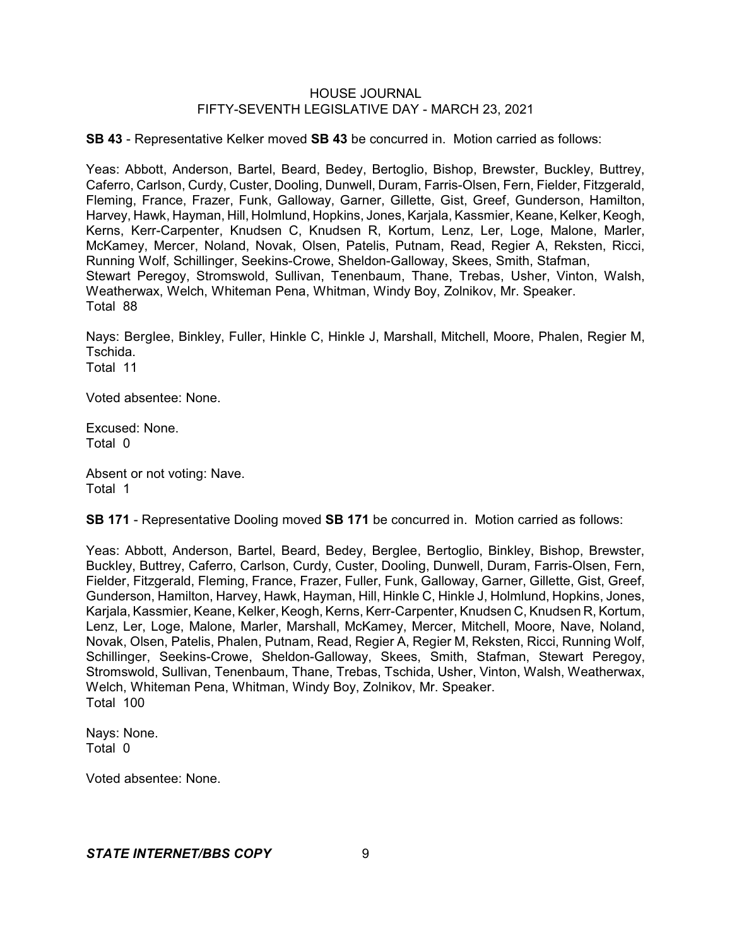**SB 43** - Representative Kelker moved **SB 43** be concurred in. Motion carried as follows:

Yeas: Abbott, Anderson, Bartel, Beard, Bedey, Bertoglio, Bishop, Brewster, Buckley, Buttrey, Caferro, Carlson, Curdy, Custer, Dooling, Dunwell, Duram, Farris-Olsen, Fern, Fielder, Fitzgerald, Fleming, France, Frazer, Funk, Galloway, Garner, Gillette, Gist, Greef, Gunderson, Hamilton, Harvey, Hawk, Hayman, Hill, Holmlund, Hopkins, Jones, Karjala, Kassmier, Keane, Kelker, Keogh, Kerns, Kerr-Carpenter, Knudsen C, Knudsen R, Kortum, Lenz, Ler, Loge, Malone, Marler, McKamey, Mercer, Noland, Novak, Olsen, Patelis, Putnam, Read, Regier A, Reksten, Ricci, Running Wolf, Schillinger, Seekins-Crowe, Sheldon-Galloway, Skees, Smith, Stafman, Stewart Peregoy, Stromswold, Sullivan, Tenenbaum, Thane, Trebas, Usher, Vinton, Walsh, Weatherwax, Welch, Whiteman Pena, Whitman, Windy Boy, Zolnikov, Mr. Speaker. Total 88

Nays: Berglee, Binkley, Fuller, Hinkle C, Hinkle J, Marshall, Mitchell, Moore, Phalen, Regier M, Tschida. Total 11

Voted absentee: None.

Excused: None. Total 0

Absent or not voting: Nave. Total 1

**SB 171** - Representative Dooling moved **SB 171** be concurred in. Motion carried as follows:

Yeas: Abbott, Anderson, Bartel, Beard, Bedey, Berglee, Bertoglio, Binkley, Bishop, Brewster, Buckley, Buttrey, Caferro, Carlson, Curdy, Custer, Dooling, Dunwell, Duram, Farris-Olsen, Fern, Fielder, Fitzgerald, Fleming, France, Frazer, Fuller, Funk, Galloway, Garner, Gillette, Gist, Greef, Gunderson, Hamilton, Harvey, Hawk, Hayman, Hill, Hinkle C, Hinkle J, Holmlund, Hopkins, Jones, Karjala, Kassmier, Keane, Kelker, Keogh, Kerns, Kerr-Carpenter, Knudsen C, Knudsen R, Kortum, Lenz, Ler, Loge, Malone, Marler, Marshall, McKamey, Mercer, Mitchell, Moore, Nave, Noland, Novak, Olsen, Patelis, Phalen, Putnam, Read, Regier A, Regier M, Reksten, Ricci, Running Wolf, Schillinger, Seekins-Crowe, Sheldon-Galloway, Skees, Smith, Stafman, Stewart Peregoy, Stromswold, Sullivan, Tenenbaum, Thane, Trebas, Tschida, Usher, Vinton, Walsh, Weatherwax, Welch, Whiteman Pena, Whitman, Windy Boy, Zolnikov, Mr. Speaker. Total 100

Nays: None. Total 0

Voted absentee: None.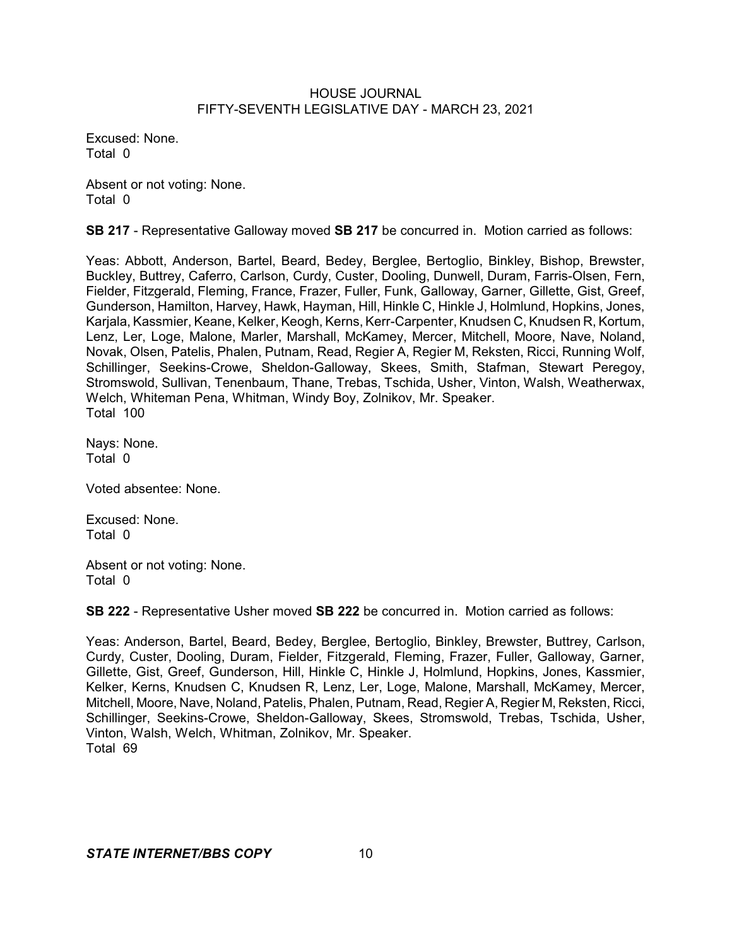Excused: None. Total 0

Absent or not voting: None. Total 0

**SB 217** - Representative Galloway moved **SB 217** be concurred in. Motion carried as follows:

Yeas: Abbott, Anderson, Bartel, Beard, Bedey, Berglee, Bertoglio, Binkley, Bishop, Brewster, Buckley, Buttrey, Caferro, Carlson, Curdy, Custer, Dooling, Dunwell, Duram, Farris-Olsen, Fern, Fielder, Fitzgerald, Fleming, France, Frazer, Fuller, Funk, Galloway, Garner, Gillette, Gist, Greef, Gunderson, Hamilton, Harvey, Hawk, Hayman, Hill, Hinkle C, Hinkle J, Holmlund, Hopkins, Jones, Karjala, Kassmier, Keane, Kelker, Keogh, Kerns, Kerr-Carpenter, Knudsen C, Knudsen R, Kortum, Lenz, Ler, Loge, Malone, Marler, Marshall, McKamey, Mercer, Mitchell, Moore, Nave, Noland, Novak, Olsen, Patelis, Phalen, Putnam, Read, Regier A, Regier M, Reksten, Ricci, Running Wolf, Schillinger, Seekins-Crowe, Sheldon-Galloway, Skees, Smith, Stafman, Stewart Peregoy, Stromswold, Sullivan, Tenenbaum, Thane, Trebas, Tschida, Usher, Vinton, Walsh, Weatherwax, Welch, Whiteman Pena, Whitman, Windy Boy, Zolnikov, Mr. Speaker. Total 100

Nays: None. Total 0

Voted absentee: None.

Excused: None. Total 0

Absent or not voting: None. Total 0

**SB 222** - Representative Usher moved **SB 222** be concurred in. Motion carried as follows:

Yeas: Anderson, Bartel, Beard, Bedey, Berglee, Bertoglio, Binkley, Brewster, Buttrey, Carlson, Curdy, Custer, Dooling, Duram, Fielder, Fitzgerald, Fleming, Frazer, Fuller, Galloway, Garner, Gillette, Gist, Greef, Gunderson, Hill, Hinkle C, Hinkle J, Holmlund, Hopkins, Jones, Kassmier, Kelker, Kerns, Knudsen C, Knudsen R, Lenz, Ler, Loge, Malone, Marshall, McKamey, Mercer, Mitchell, Moore, Nave, Noland, Patelis, Phalen, Putnam, Read, Regier A, Regier M, Reksten, Ricci, Schillinger, Seekins-Crowe, Sheldon-Galloway, Skees, Stromswold, Trebas, Tschida, Usher, Vinton, Walsh, Welch, Whitman, Zolnikov, Mr. Speaker. Total 69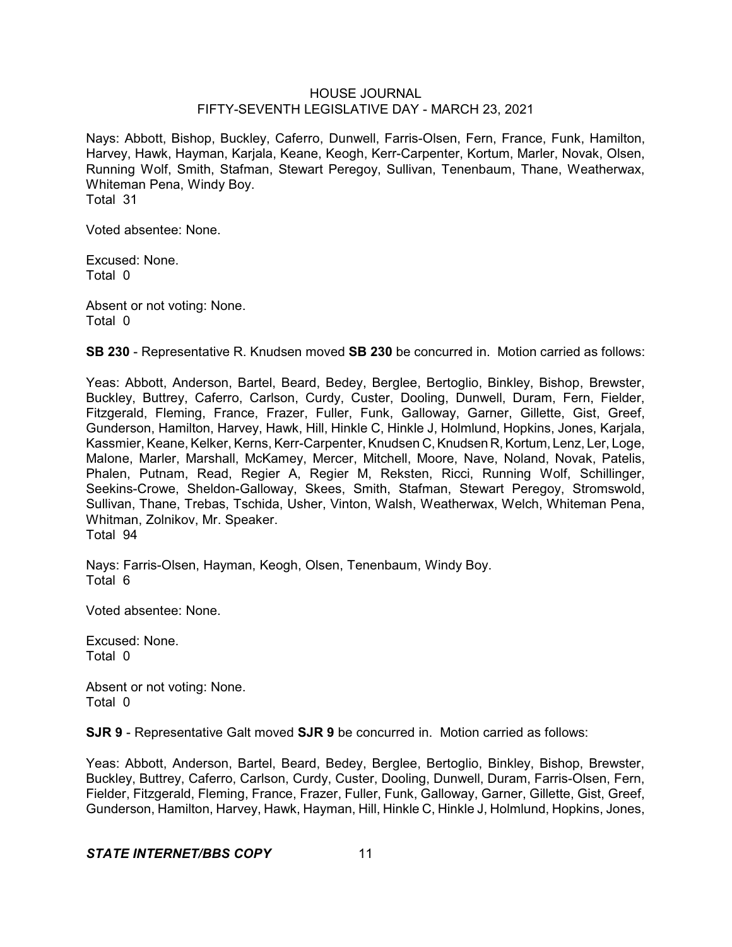Nays: Abbott, Bishop, Buckley, Caferro, Dunwell, Farris-Olsen, Fern, France, Funk, Hamilton, Harvey, Hawk, Hayman, Karjala, Keane, Keogh, Kerr-Carpenter, Kortum, Marler, Novak, Olsen, Running Wolf, Smith, Stafman, Stewart Peregoy, Sullivan, Tenenbaum, Thane, Weatherwax, Whiteman Pena, Windy Boy. Total 31

Voted absentee: None.

Excused: None. Total 0

Absent or not voting: None. Total 0

**SB 230** - Representative R. Knudsen moved **SB 230** be concurred in. Motion carried as follows:

Yeas: Abbott, Anderson, Bartel, Beard, Bedey, Berglee, Bertoglio, Binkley, Bishop, Brewster, Buckley, Buttrey, Caferro, Carlson, Curdy, Custer, Dooling, Dunwell, Duram, Fern, Fielder, Fitzgerald, Fleming, France, Frazer, Fuller, Funk, Galloway, Garner, Gillette, Gist, Greef, Gunderson, Hamilton, Harvey, Hawk, Hill, Hinkle C, Hinkle J, Holmlund, Hopkins, Jones, Karjala, Kassmier, Keane, Kelker, Kerns, Kerr-Carpenter, Knudsen C, Knudsen R, Kortum, Lenz, Ler, Loge, Malone, Marler, Marshall, McKamey, Mercer, Mitchell, Moore, Nave, Noland, Novak, Patelis, Phalen, Putnam, Read, Regier A, Regier M, Reksten, Ricci, Running Wolf, Schillinger, Seekins-Crowe, Sheldon-Galloway, Skees, Smith, Stafman, Stewart Peregoy, Stromswold, Sullivan, Thane, Trebas, Tschida, Usher, Vinton, Walsh, Weatherwax, Welch, Whiteman Pena, Whitman, Zolnikov, Mr. Speaker. Total 94

Nays: Farris-Olsen, Hayman, Keogh, Olsen, Tenenbaum, Windy Boy. Total 6

Voted absentee: None.

Excused: None. Total 0

Absent or not voting: None. Total 0

**SJR 9** - Representative Galt moved **SJR 9** be concurred in. Motion carried as follows:

Yeas: Abbott, Anderson, Bartel, Beard, Bedey, Berglee, Bertoglio, Binkley, Bishop, Brewster, Buckley, Buttrey, Caferro, Carlson, Curdy, Custer, Dooling, Dunwell, Duram, Farris-Olsen, Fern, Fielder, Fitzgerald, Fleming, France, Frazer, Fuller, Funk, Galloway, Garner, Gillette, Gist, Greef, Gunderson, Hamilton, Harvey, Hawk, Hayman, Hill, Hinkle C, Hinkle J, Holmlund, Hopkins, Jones,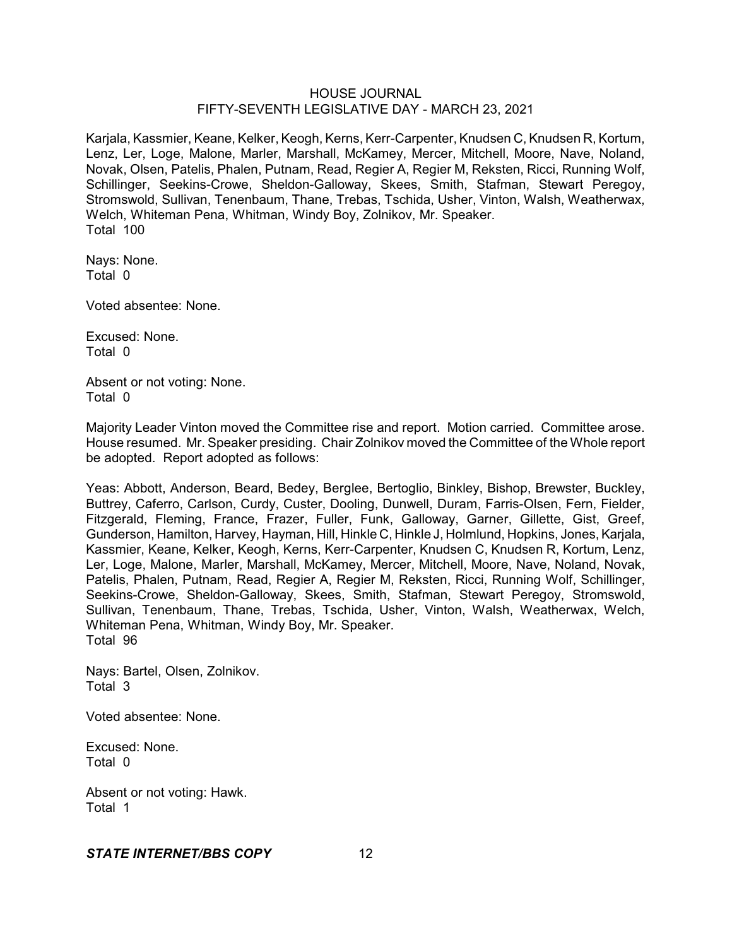Karjala, Kassmier, Keane, Kelker, Keogh, Kerns, Kerr-Carpenter, Knudsen C, Knudsen R, Kortum, Lenz, Ler, Loge, Malone, Marler, Marshall, McKamey, Mercer, Mitchell, Moore, Nave, Noland, Novak, Olsen, Patelis, Phalen, Putnam, Read, Regier A, Regier M, Reksten, Ricci, Running Wolf, Schillinger, Seekins-Crowe, Sheldon-Galloway, Skees, Smith, Stafman, Stewart Peregoy, Stromswold, Sullivan, Tenenbaum, Thane, Trebas, Tschida, Usher, Vinton, Walsh, Weatherwax, Welch, Whiteman Pena, Whitman, Windy Boy, Zolnikov, Mr. Speaker. Total 100

Nays: None. Total 0

Voted absentee: None.

Excused: None. Total 0

Absent or not voting: None. Total 0

Majority Leader Vinton moved the Committee rise and report. Motion carried. Committee arose. House resumed. Mr. Speaker presiding. Chair Zolnikov moved the Committee of the Whole report be adopted. Report adopted as follows:

Yeas: Abbott, Anderson, Beard, Bedey, Berglee, Bertoglio, Binkley, Bishop, Brewster, Buckley, Buttrey, Caferro, Carlson, Curdy, Custer, Dooling, Dunwell, Duram, Farris-Olsen, Fern, Fielder, Fitzgerald, Fleming, France, Frazer, Fuller, Funk, Galloway, Garner, Gillette, Gist, Greef, Gunderson, Hamilton, Harvey, Hayman, Hill, Hinkle C, Hinkle J, Holmlund, Hopkins, Jones,Karjala, Kassmier, Keane, Kelker, Keogh, Kerns, Kerr-Carpenter, Knudsen C, Knudsen R, Kortum, Lenz, Ler, Loge, Malone, Marler, Marshall, McKamey, Mercer, Mitchell, Moore, Nave, Noland, Novak, Patelis, Phalen, Putnam, Read, Regier A, Regier M, Reksten, Ricci, Running Wolf, Schillinger, Seekins-Crowe, Sheldon-Galloway, Skees, Smith, Stafman, Stewart Peregoy, Stromswold, Sullivan, Tenenbaum, Thane, Trebas, Tschida, Usher, Vinton, Walsh, Weatherwax, Welch, Whiteman Pena, Whitman, Windy Boy, Mr. Speaker. Total 96

Nays: Bartel, Olsen, Zolnikov. Total 3

Voted absentee: None.

Excused: None. Total 0

Absent or not voting: Hawk. Total 1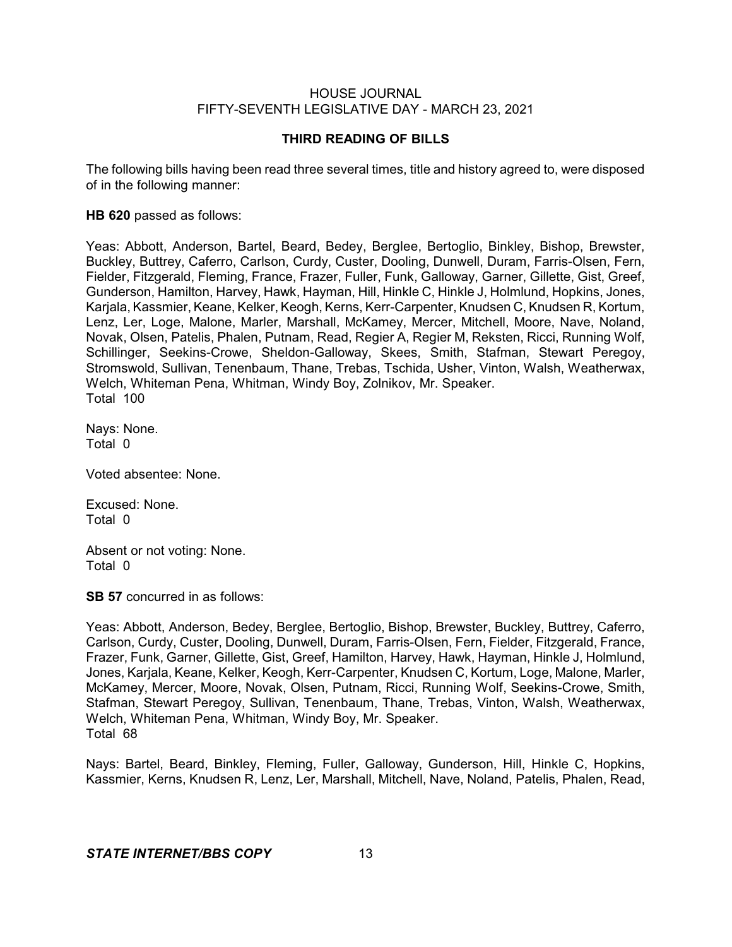### **THIRD READING OF BILLS**

The following bills having been read three several times, title and history agreed to, were disposed of in the following manner:

#### **HB 620** passed as follows:

Yeas: Abbott, Anderson, Bartel, Beard, Bedey, Berglee, Bertoglio, Binkley, Bishop, Brewster, Buckley, Buttrey, Caferro, Carlson, Curdy, Custer, Dooling, Dunwell, Duram, Farris-Olsen, Fern, Fielder, Fitzgerald, Fleming, France, Frazer, Fuller, Funk, Galloway, Garner, Gillette, Gist, Greef, Gunderson, Hamilton, Harvey, Hawk, Hayman, Hill, Hinkle C, Hinkle J, Holmlund, Hopkins, Jones, Karjala, Kassmier, Keane, Kelker, Keogh, Kerns, Kerr-Carpenter, Knudsen C, Knudsen R, Kortum, Lenz, Ler, Loge, Malone, Marler, Marshall, McKamey, Mercer, Mitchell, Moore, Nave, Noland, Novak, Olsen, Patelis, Phalen, Putnam, Read, Regier A, Regier M, Reksten, Ricci, Running Wolf, Schillinger, Seekins-Crowe, Sheldon-Galloway, Skees, Smith, Stafman, Stewart Peregoy, Stromswold, Sullivan, Tenenbaum, Thane, Trebas, Tschida, Usher, Vinton, Walsh, Weatherwax, Welch, Whiteman Pena, Whitman, Windy Boy, Zolnikov, Mr. Speaker. Total 100

Nays: None. Total 0

Voted absentee: None.

Excused: None. Total 0

Absent or not voting: None. Total 0

**SB 57** concurred in as follows:

Yeas: Abbott, Anderson, Bedey, Berglee, Bertoglio, Bishop, Brewster, Buckley, Buttrey, Caferro, Carlson, Curdy, Custer, Dooling, Dunwell, Duram, Farris-Olsen, Fern, Fielder, Fitzgerald, France, Frazer, Funk, Garner, Gillette, Gist, Greef, Hamilton, Harvey, Hawk, Hayman, Hinkle J, Holmlund, Jones, Karjala, Keane, Kelker, Keogh, Kerr-Carpenter, Knudsen C, Kortum, Loge, Malone, Marler, McKamey, Mercer, Moore, Novak, Olsen, Putnam, Ricci, Running Wolf, Seekins-Crowe, Smith, Stafman, Stewart Peregoy, Sullivan, Tenenbaum, Thane, Trebas, Vinton, Walsh, Weatherwax, Welch, Whiteman Pena, Whitman, Windy Boy, Mr. Speaker. Total 68

Nays: Bartel, Beard, Binkley, Fleming, Fuller, Galloway, Gunderson, Hill, Hinkle C, Hopkins, Kassmier, Kerns, Knudsen R, Lenz, Ler, Marshall, Mitchell, Nave, Noland, Patelis, Phalen, Read,